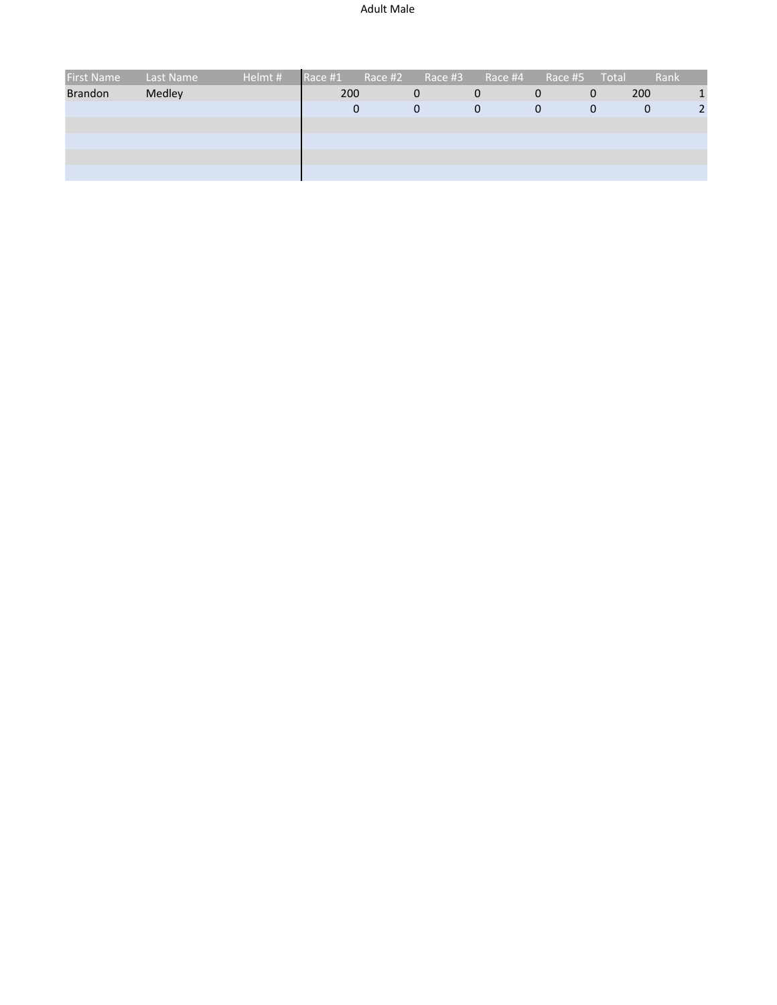| <b>First Name</b> | Last Name | Helmt # | Race #1 | Race #2 | Race #3     | Race #4 | Race #5 | Total       | Rank |   |
|-------------------|-----------|---------|---------|---------|-------------|---------|---------|-------------|------|---|
| <b>Brandon</b>    | Medley    |         | 200     |         | 0           | 0       | 0       | 0           | 200  | 1 |
|                   |           |         | 0       |         | $\mathbf 0$ | 0       | 0       | $\mathbf 0$ | 0    |   |
|                   |           |         |         |         |             |         |         |             |      |   |
|                   |           |         |         |         |             |         |         |             |      |   |
|                   |           |         |         |         |             |         |         |             |      |   |
|                   |           |         |         |         |             |         |         |             |      |   |
|                   |           |         |         |         |             |         |         |             |      |   |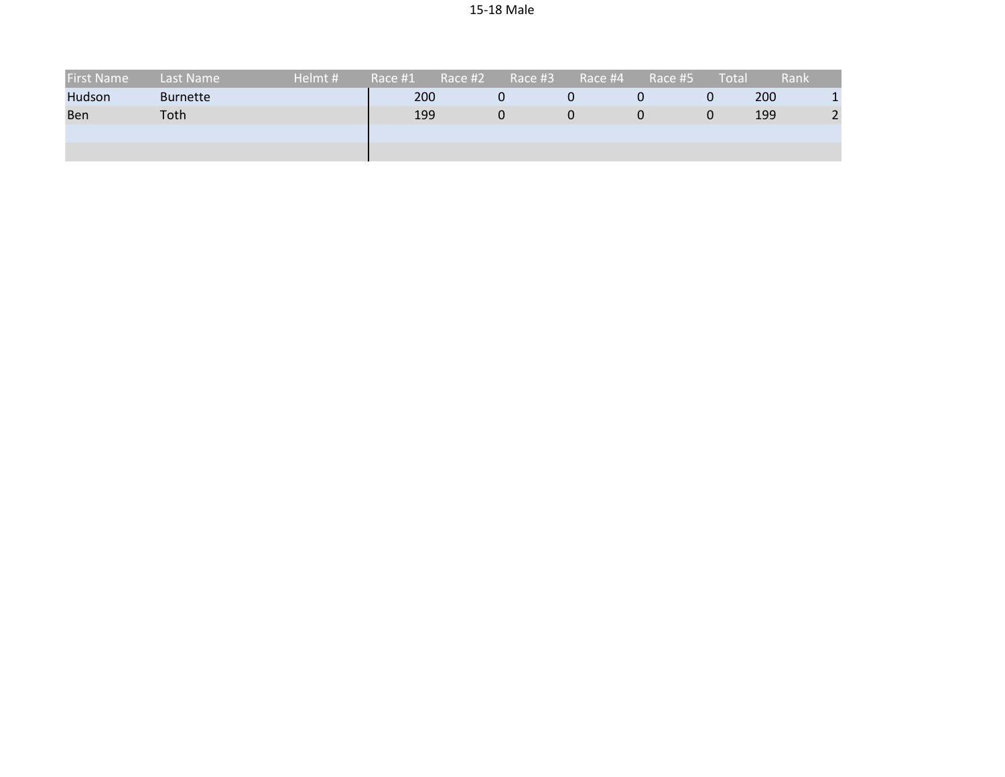| <b>First Name</b> | Last Name       | Helmt # | Race #1 | Race #2 | Race #3 | Race #4 | Race #5 | Total | Rank |    |
|-------------------|-----------------|---------|---------|---------|---------|---------|---------|-------|------|----|
| Hudson            | <b>Burnette</b> |         | 200     |         | 0       |         |         | Ü     | 200  |    |
| Ben               | Toth            |         | 199     |         | 0       |         |         | 0     | 199  | ົາ |
|                   |                 |         |         |         |         |         |         |       |      |    |
|                   |                 |         |         |         |         |         |         |       |      |    |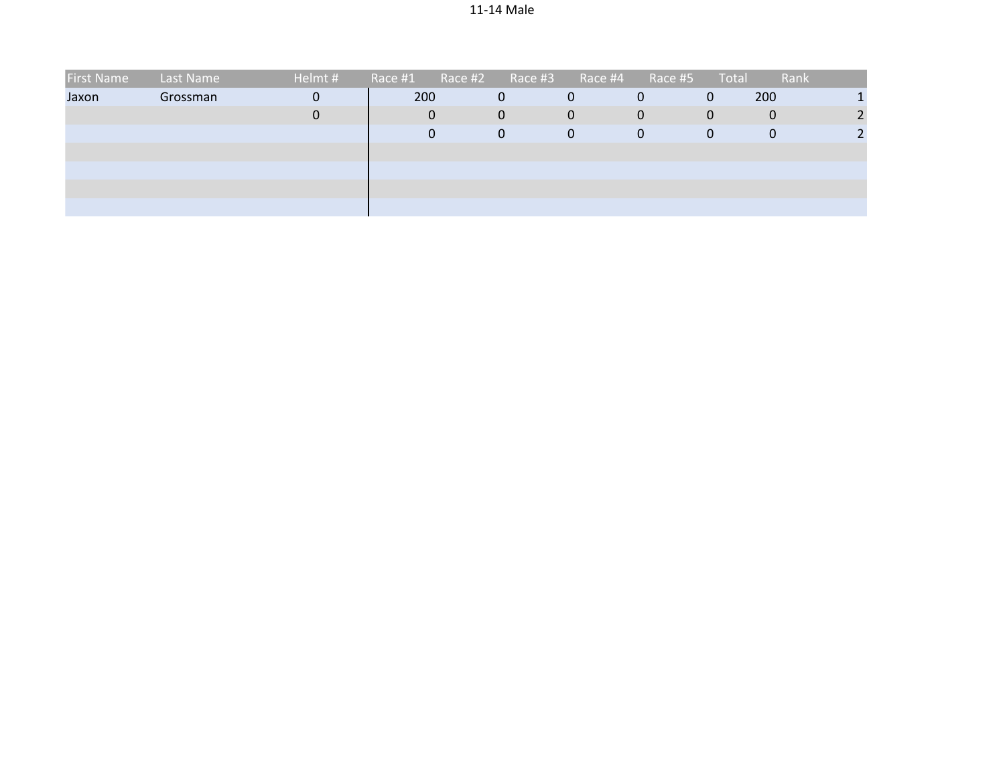| <b>First Name</b> | Last Name | Helmt # | Race #1 | Race #2 | Race #3        | Race #4 | Race #5 | Total | Rank |  |
|-------------------|-----------|---------|---------|---------|----------------|---------|---------|-------|------|--|
| Jaxon             | Grossman  | 0       | 200     |         | $\overline{0}$ | 0       | 0       | 0     | 200  |  |
|                   |           | 0       |         | 0       | $\mathbf{0}$   | 0       | 0       | 0     | 0    |  |
|                   |           |         |         | 0       | $\mathbf 0$    | 0       | 0       | 0     | 0    |  |
|                   |           |         |         |         |                |         |         |       |      |  |
|                   |           |         |         |         |                |         |         |       |      |  |
|                   |           |         |         |         |                |         |         |       |      |  |
|                   |           |         |         |         |                |         |         |       |      |  |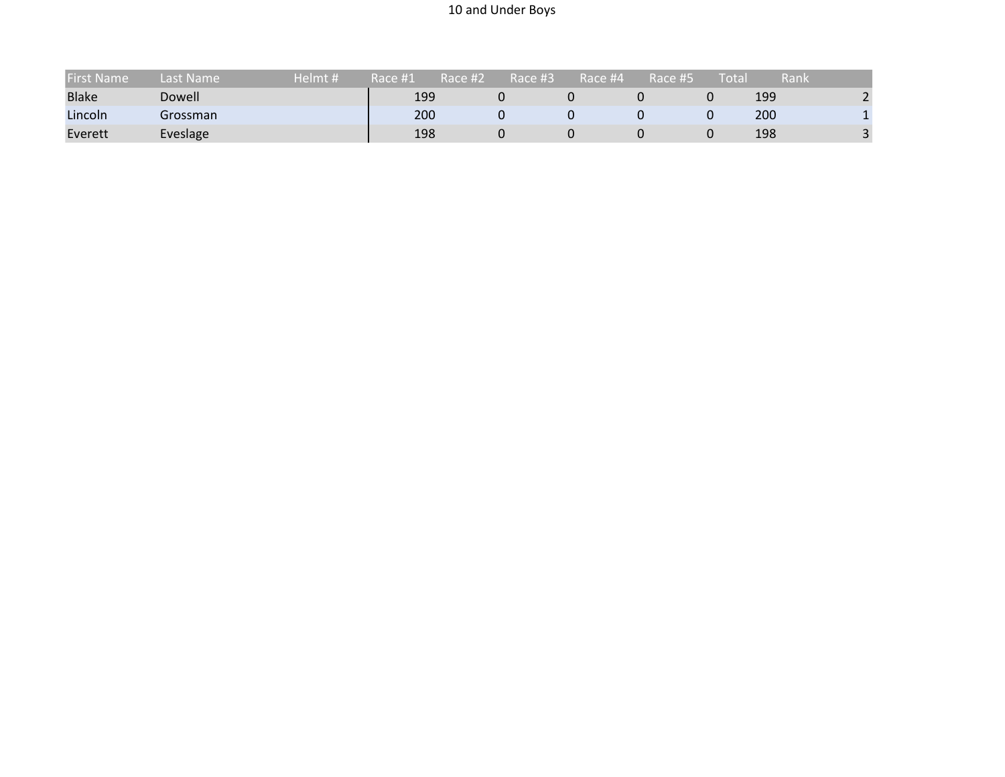## 10 and Under Boys

| <b>First Name</b> | Last Name | Helmt # | Race #1 | Race #2 | Race #3' | Race #4 | Race #5 | Tota | Rank |            |
|-------------------|-----------|---------|---------|---------|----------|---------|---------|------|------|------------|
| <b>Blake</b>      | Dowell    |         | 199     |         |          |         |         |      | 199  |            |
| Lincoln           | Grossman  |         | 200     |         |          |         |         |      | 200  |            |
| Everett           | Eveslage  |         | 198     |         |          |         |         |      | 198  | $\sqrt{2}$ |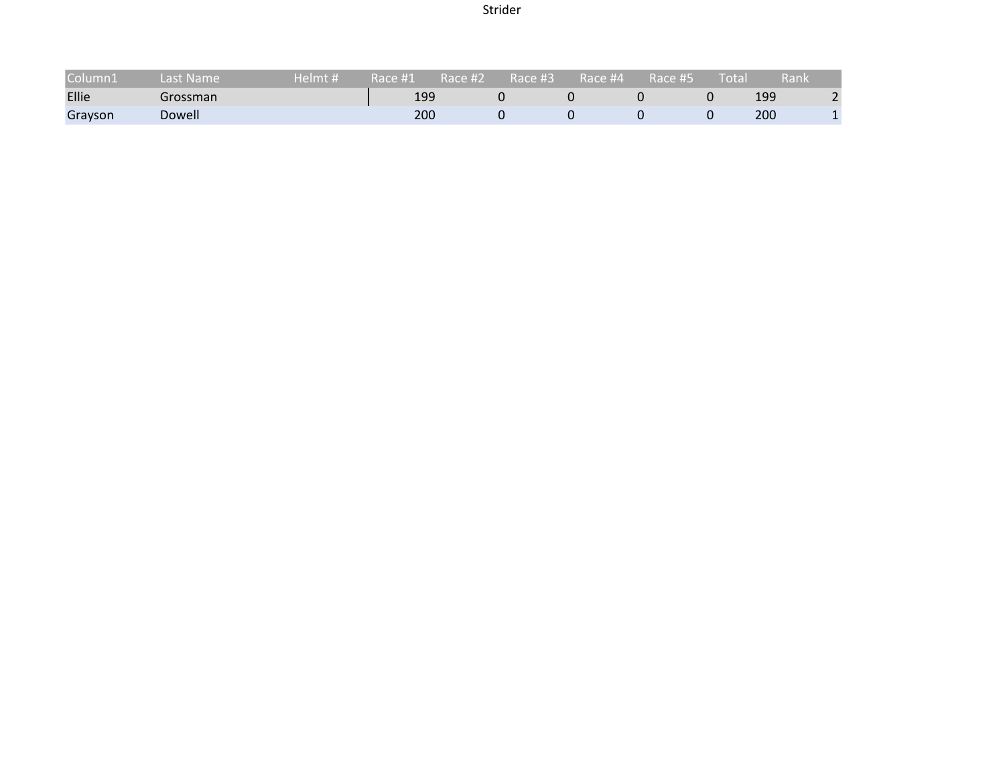Strider

| Column1 | Last Name | Helmt # | Race #1 | Race #2 | Race #3' | Race #4 | Race #5 | Total | .Rank |  |
|---------|-----------|---------|---------|---------|----------|---------|---------|-------|-------|--|
| Ellie   | Grossman  |         | 199     |         |          |         |         |       | 199   |  |
| Grayson | Dowell    |         | 200     |         |          |         |         |       | 200   |  |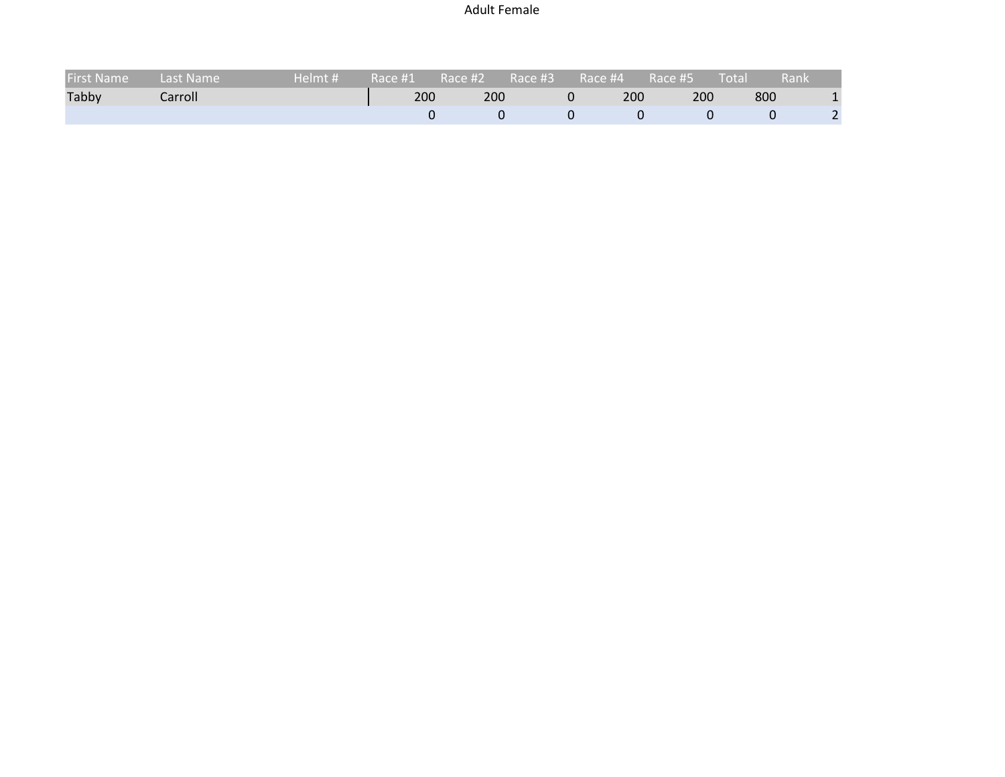## Adult Female

| <b>First Name</b> | Last Name | Helmt # $\sqrt$ | Race #1 Race #2 |     | Race #3 | Race #4 |     | $Race$ #5 | $\blacksquare$ Total $\blacksquare$ | Rank |
|-------------------|-----------|-----------------|-----------------|-----|---------|---------|-----|-----------|-------------------------------------|------|
| Tabby             | Carroll   |                 | 200             | 200 |         |         | 200 | 200       | 800                                 |      |
|                   |           |                 |                 |     |         |         |     |           |                                     |      |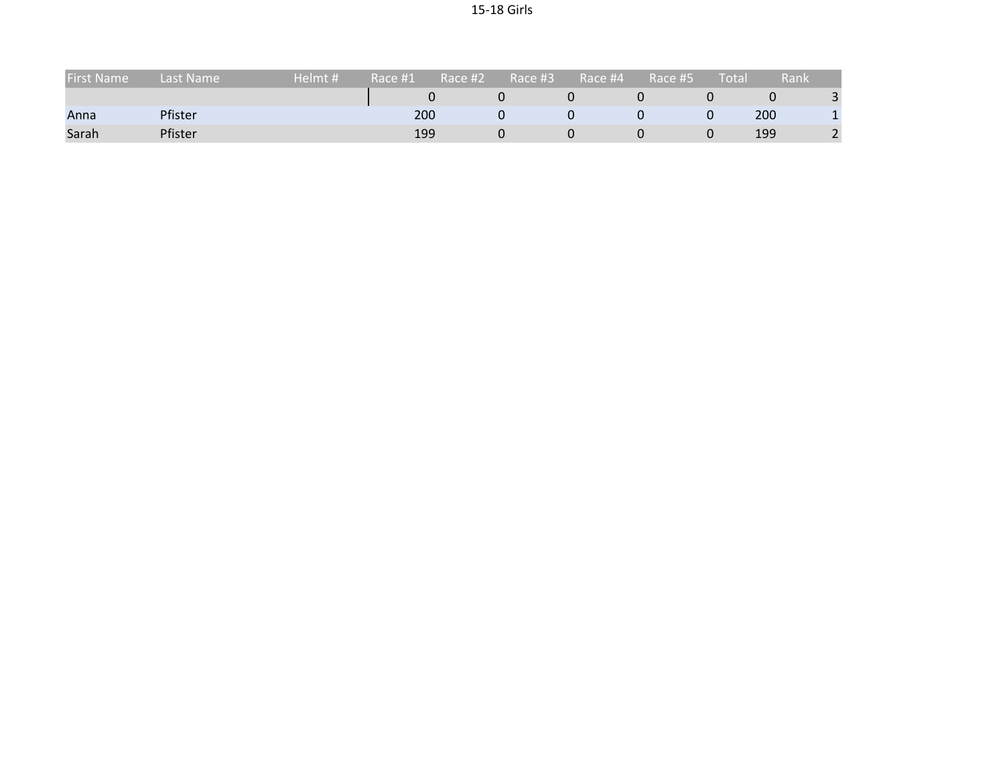| <b>First Name</b> | Last Name | Helmt # | Race #1 | ا Race #2 | Race #3. | Race #4 | Race #5 | Total | Rank |  |
|-------------------|-----------|---------|---------|-----------|----------|---------|---------|-------|------|--|
|                   |           |         |         |           |          |         |         |       |      |  |
| Anna              | Pfister   |         | 200     |           |          |         |         |       | 200  |  |
| Sarah             | Pfister   |         | 199     |           |          |         |         |       | 199  |  |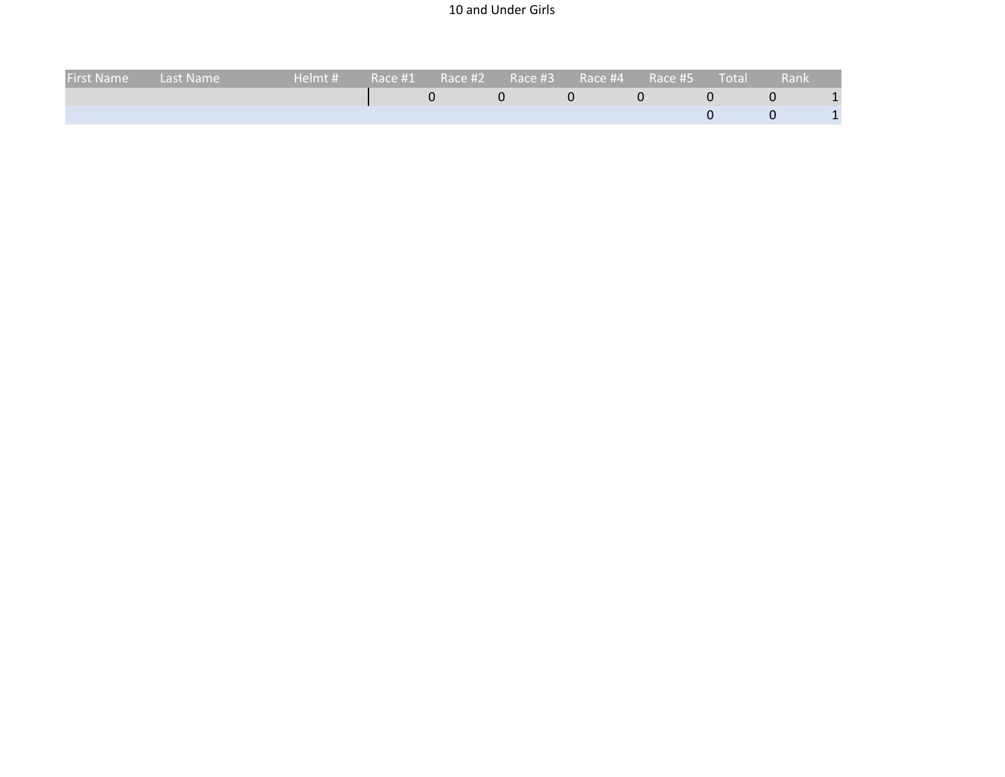## 10 and Under Girls

| <b>First Name</b> | Last Name | Helmt # |  |  |  | Rank |   |
|-------------------|-----------|---------|--|--|--|------|---|
|                   |           |         |  |  |  |      |   |
|                   |           |         |  |  |  |      | Ŧ |